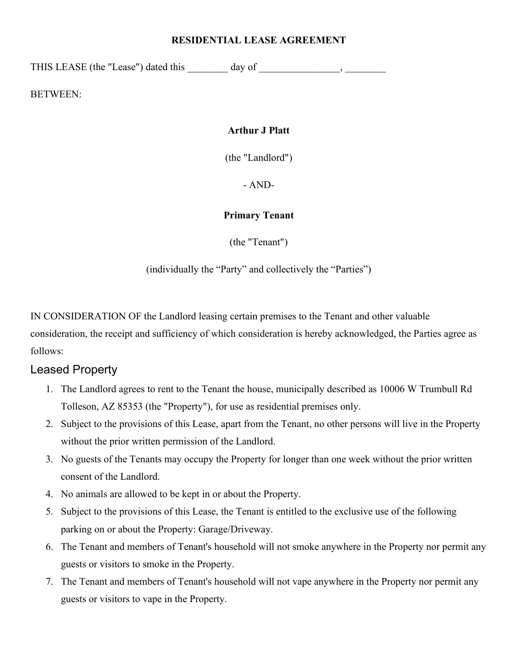#### **RESIDENTIAL LEASE AGREEMENT**

THIS LEASE (the "Lease") dated this day of the state of the state of  $\sim$ 

BETWEEN:

#### **Arthur J Platt**

(the "Landlord")

- AND-

#### **Primary Tenant**

(the "Tenant")

(individually the "Party" and collectively the "Parties")

IN CONSIDERATION OF the Landlord leasing certain premises to the Tenant and other valuable consideration, the receipt and sufficiency of which consideration is hereby acknowledged, the Parties agree as follows:

### Leased Property

- 1. The Landlord agrees to rent to the Tenant the house, municipally described as 10006 W Trumbull Rd Tolleson, AZ 85353 (the "Property"), for use as residential premises only.
- 2. Subject to the provisions of this Lease, apart from the Tenant, no other persons will live in the Property without the prior written permission of the Landlord.
- 3. No guests of the Tenants may occupy the Property for longer than one week without the prior written consent of the Landlord.
- 4. No animals are allowed to be kept in or about the Property.
- 5. Subject to the provisions of this Lease, the Tenant is entitled to the exclusive use of the following parking on or about the Property: Garage/Driveway.
- 6. The Tenant and members of Tenant's household will not smoke anywhere in the Property nor permit any guests or visitors to smoke in the Property.
- 7. The Tenant and members of Tenant's household will not vape anywhere in the Property nor permit any guests or visitors to vape in the Property.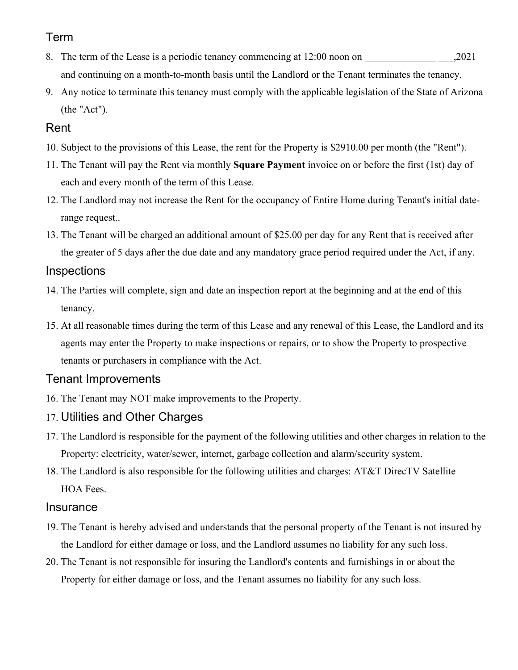#### Term

- 8. The term of the Lease is a periodic tenancy commencing at 12:00 noon on .2021 and continuing on a month-to-month basis until the Landlord or the Tenant terminates the tenancy.
- 9. Any notice to terminate this tenancy must comply with the applicable legislation of the State of Arizona (the "Act").

#### Rent

- 10. Subject to the provisions of this Lease, the rent for the Property is \$2910.00 per month (the "Rent").
- 11. The Tenant will pay the Rent via monthly **Square Payment** invoice on or before the first (1st) day of each and every month of the term of this Lease.
- 12. The Landlord may not increase the Rent for the occupancy of Entire Home during Tenant's initial daterange request..
- 13. The Tenant will be charged an additional amount of \$25.00 per day for any Rent that is received after the greater of 5 days after the due date and any mandatory grace period required under the Act, if any.

#### Inspections

- 14. The Parties will complete, sign and date an inspection report at the beginning and at the end of this tenancy.
- 15. At all reasonable times during the term of this Lease and any renewal of this Lease, the Landlord and its agents may enter the Property to make inspections or repairs, or to show the Property to prospective tenants or purchasers in compliance with the Act.

#### Tenant Improvements

- 16. The Tenant may NOT make improvements to the Property.
- 17. Utilities and Other Charges
- 17. The Landlord is responsible for the payment of the following utilities and other charges in relation to the Property: electricity, water/sewer, internet, garbage collection and alarm/security system.
- 18. The Landlord is also responsible for the following utilities and charges: AT&T DirecTV Satellite HOA Fees.

#### **Insurance**

- 19. The Tenant is hereby advised and understands that the personal property of the Tenant is not insured by the Landlord for either damage or loss, and the Landlord assumes no liability for any such loss.
- 20. The Tenant is not responsible for insuring the Landlord's contents and furnishings in or about the Property for either damage or loss, and the Tenant assumes no liability for any such loss.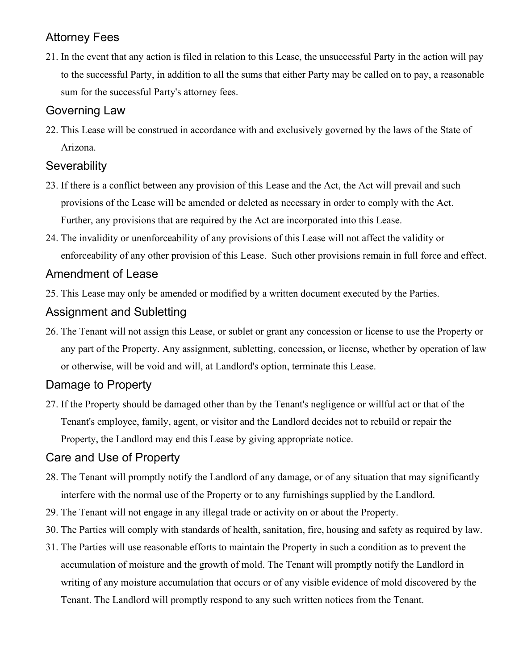## Attorney Fees

21. In the event that any action is filed in relation to this Lease, the unsuccessful Party in the action will pay to the successful Party, in addition to all the sums that either Party may be called on to pay, a reasonable sum for the successful Party's attorney fees.

### Governing Law

22. This Lease will be construed in accordance with and exclusively governed by the laws of the State of Arizona.

### **Severability**

- 23. If there is a conflict between any provision of this Lease and the Act, the Act will prevail and such provisions of the Lease will be amended or deleted as necessary in order to comply with the Act. Further, any provisions that are required by the Act are incorporated into this Lease.
- 24. The invalidity or unenforceability of any provisions of this Lease will not affect the validity or enforceability of any other provision of this Lease. Such other provisions remain in full force and effect.

## Amendment of Lease

25. This Lease may only be amended or modified by a written document executed by the Parties.

### Assignment and Subletting

26. The Tenant will not assign this Lease, or sublet or grant any concession or license to use the Property or any part of the Property. Any assignment, subletting, concession, or license, whether by operation of law or otherwise, will be void and will, at Landlord's option, terminate this Lease.

# Damage to Property

27. If the Property should be damaged other than by the Tenant's negligence or willful act or that of the Tenant's employee, family, agent, or visitor and the Landlord decides not to rebuild or repair the Property, the Landlord may end this Lease by giving appropriate notice.

# Care and Use of Property

- 28. The Tenant will promptly notify the Landlord of any damage, or of any situation that may significantly interfere with the normal use of the Property or to any furnishings supplied by the Landlord.
- 29. The Tenant will not engage in any illegal trade or activity on or about the Property.
- 30. The Parties will comply with standards of health, sanitation, fire, housing and safety as required by law.
- 31. The Parties will use reasonable efforts to maintain the Property in such a condition as to prevent the accumulation of moisture and the growth of mold. The Tenant will promptly notify the Landlord in writing of any moisture accumulation that occurs or of any visible evidence of mold discovered by the Tenant. The Landlord will promptly respond to any such written notices from the Tenant.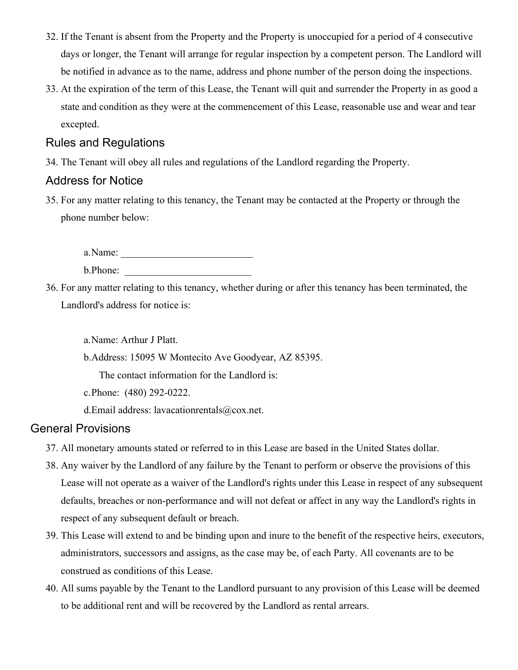- 32. If the Tenant is absent from the Property and the Property is unoccupied for a period of 4 consecutive days or longer, the Tenant will arrange for regular inspection by a competent person. The Landlord will be notified in advance as to the name, address and phone number of the person doing the inspections.
- 33. At the expiration of the term of this Lease, the Tenant will quit and surrender the Property in as good a state and condition as they were at the commencement of this Lease, reasonable use and wear and tear excepted.

#### Rules and Regulations

34. The Tenant will obey all rules and regulations of the Landlord regarding the Property.

### Address for Notice

35. For any matter relating to this tenancy, the Tenant may be contacted at the Property or through the phone number below:

a.Name: \_\_\_\_\_\_\_\_\_\_\_\_\_\_\_\_\_\_\_\_\_\_\_\_\_\_ b.Phone: \_\_\_\_\_\_\_\_\_\_\_\_\_\_\_\_\_\_\_\_\_\_\_\_\_

36. For any matter relating to this tenancy, whether during or after this tenancy has been terminated, the Landlord's address for notice is:

a.Name: Arthur J Platt.

b.Address: 15095 W Montecito Ave Goodyear, AZ 85395.

The contact information for the Landlord is:

c.Phone: (480) 292-0222.

d.Email address: lavacationrentals@cox.net.

#### General Provisions

- 37. All monetary amounts stated or referred to in this Lease are based in the United States dollar.
- 38. Any waiver by the Landlord of any failure by the Tenant to perform or observe the provisions of this Lease will not operate as a waiver of the Landlord's rights under this Lease in respect of any subsequent defaults, breaches or non-performance and will not defeat or affect in any way the Landlord's rights in respect of any subsequent default or breach.
- 39. This Lease will extend to and be binding upon and inure to the benefit of the respective heirs, executors, administrators, successors and assigns, as the case may be, of each Party. All covenants are to be construed as conditions of this Lease.
- 40. All sums payable by the Tenant to the Landlord pursuant to any provision of this Lease will be deemed to be additional rent and will be recovered by the Landlord as rental arrears.